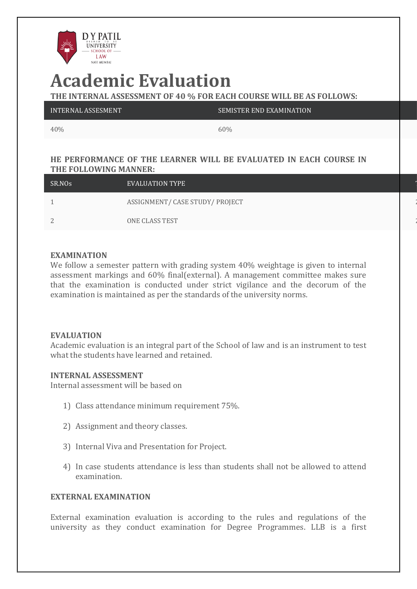

# **Academic Evaluation**

**THE INTERNAL ASSESSMENT OF 40 % FOR EACH COURSE WILL BE AS FOLLOWS:**

| INTERNAL ASSESMENT | SEMISTER END EXAMINATION |
|--------------------|--------------------------|
|                    |                          |

40% 60%

## **HE PERFORMANCE OF THE LEARNER WILL BE EVALUATED IN EACH COURSE IN THE FOLLOWING MANNER:**

| SR.NOs             | EVALUATION TYPE                 |  |
|--------------------|---------------------------------|--|
|                    | ASSIGNMENT/ CASE STUDY/ PROJECT |  |
| $\mathcal{D}$<br>∠ | ONE CLASS TEST                  |  |

### **EXAMINATION**

We follow a semester pattern with grading system 40% weightage is given to internal assessment markings and 60% final(external). A management committee makes sure that the examination is conducted under strict vigilance and the decorum of the examination is maintained as per the standards of the university norms.

#### **EVALUATION**

Academic evaluation is an integral part of the School of law and is an instrument to test what the students have learned and retained.

#### **INTERNAL ASSESSMENT**

Internal assessment will be based on

- 1) Class attendance minimum requirement 75%.
- 2) Assignment and theory classes.
- 3) Internal Viva and Presentation for Project.
- 4) In case students attendance is less than students shall not be allowed to attend examination.

## **EXTERNAL EXAMINATION**

External examination evaluation is according to the rules and regulations of the university as they conduct examination for Degree Programmes. LLB is a first